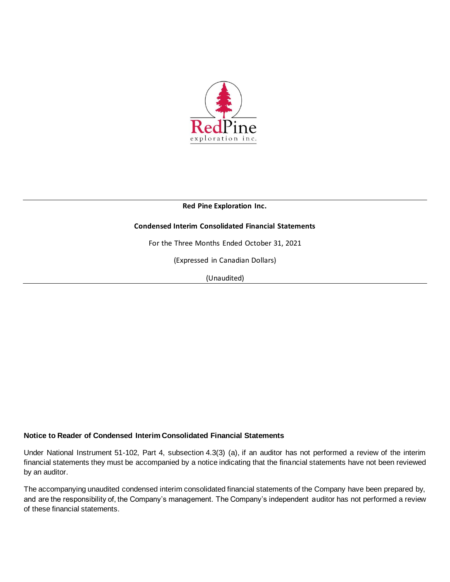

## **Condensed Interim Consolidated Financial Statements**

For the Three Months Ended October 31, 2021

(Expressed in Canadian Dollars)

(Unaudited)

## **Notice to Reader of Condensed Interim Consolidated Financial Statements**

Under National Instrument 51-102, Part 4, subsection 4.3(3) (a), if an auditor has not performed a review of the interim financial statements they must be accompanied by a notice indicating that the financial statements have not been reviewed by an auditor.

The accompanying unaudited condensed interim consolidated financial statements of the Company have been prepared by, and are the responsibility of, the Company's management. The Company's independent auditor has not performed a review of these financial statements.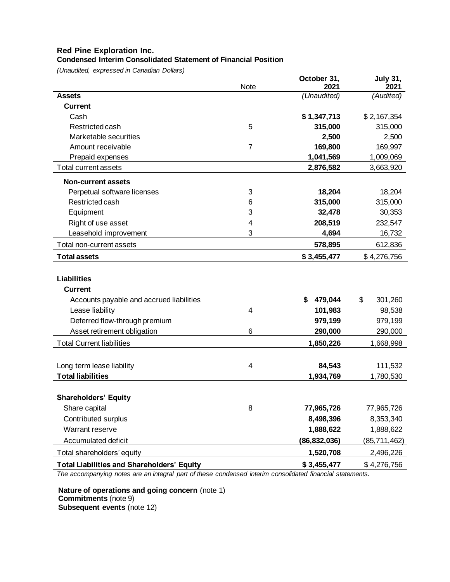## **Condensed Interim Consolidated Statement of Financial Position**

*(Unaudited, expressed in Canadian Dollars)*

|                                                   | Note           | October 31,<br>2021 | <b>July 31,</b><br>2021 |
|---------------------------------------------------|----------------|---------------------|-------------------------|
| <b>Assets</b>                                     |                | (Unaudited)         | (Audited)               |
| <b>Current</b>                                    |                |                     |                         |
| Cash                                              |                | \$1,347,713         | \$2,167,354             |
| Restricted cash                                   | 5              | 315,000             | 315,000                 |
| Marketable securities                             |                | 2,500               | 2,500                   |
| Amount receivable                                 | $\overline{7}$ | 169,800             | 169,997                 |
| Prepaid expenses                                  |                | 1,041,569           | 1,009,069               |
| Total current assets                              |                | 2,876,582           | 3,663,920               |
| <b>Non-current assets</b>                         |                |                     |                         |
| Perpetual software licenses                       | 3              | 18,204              | 18,204                  |
| Restricted cash                                   | 6              | 315,000             | 315,000                 |
| Equipment                                         | 3              | 32,478              | 30,353                  |
| Right of use asset                                | 4              | 208,519             | 232,547                 |
| Leasehold improvement                             | 3              | 4,694               | 16,732                  |
| Total non-current assets                          |                | 578,895             | 612,836                 |
| <b>Total assets</b>                               |                | \$3,455,477         | \$4,276,756             |
|                                                   |                |                     |                         |
| <b>Liabilities</b>                                |                |                     |                         |
| <b>Current</b>                                    |                |                     |                         |
| Accounts payable and accrued liabilities          |                | \$<br>479,044       | \$<br>301,260           |
| Lease liability                                   | 4              | 101,983             | 98,538                  |
| Deferred flow-through premium                     |                | 979,199             | 979,199                 |
| Asset retirement obligation                       | 6              | 290,000             | 290,000                 |
| <b>Total Current liabilities</b>                  |                | 1,850,226           | 1,668,998               |
|                                                   |                |                     |                         |
| Long term lease liability                         | 4              | 84,543              | 111,532                 |
| <b>Total liabilities</b>                          |                | 1,934,769           | 1,780,530               |
|                                                   |                |                     |                         |
| <b>Shareholders' Equity</b>                       |                |                     |                         |
| Share capital                                     | 8              | 77,965,726          | 77,965,726              |
| Contributed surplus                               |                | 8,498,396           | 8,353,340               |
| Warrant reserve                                   |                | 1,888,622           | 1,888,622               |
| Accumulated deficit                               |                | (86, 832, 036)      | (85,711,462)            |
| Total shareholders' equity                        |                | 1,520,708           | 2,496,226               |
| <b>Total Liabilities and Shareholders' Equity</b> |                | \$3,455,477         | \$4,276,756             |

*The accompanying notes are an integral part of these condensed interim consolidated financial statements.*

**Nature of operations and going concern** (note 1) **Commitments** (note 9) **Subsequent events** (note 12)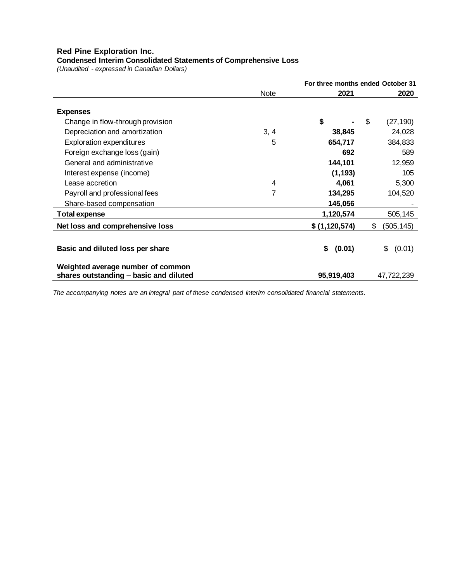**Condensed Interim Consolidated Statements of Comprehensive Loss**

*(Unaudited - expressed in Canadian Dollars)*

|                                                                             |      |               | For three months ended October 31 |
|-----------------------------------------------------------------------------|------|---------------|-----------------------------------|
|                                                                             | Note | 2021          | 2020                              |
| <b>Expenses</b>                                                             |      |               |                                   |
| Change in flow-through provision                                            |      | \$            | \$<br>(27, 190)                   |
| Depreciation and amortization                                               | 3, 4 | 38,845        | 24,028                            |
| <b>Exploration expenditures</b>                                             | 5    | 654,717       | 384,833                           |
| Foreign exchange loss (gain)                                                |      | 692           | 589                               |
| General and administrative                                                  |      | 144,101       | 12,959                            |
| Interest expense (income)                                                   |      | (1, 193)      | 105                               |
| Lease accretion                                                             | 4    | 4,061         | 5,300                             |
| Payroll and professional fees                                               | 7    | 134,295       | 104,520                           |
| Share-based compensation                                                    |      | 145,056       |                                   |
| <b>Total expense</b>                                                        |      | 1,120,574     | 505,145                           |
| Net loss and comprehensive loss                                             |      | \$(1,120,574) | \$<br>(505,145)                   |
|                                                                             |      |               |                                   |
| Basic and diluted loss per share                                            |      | \$<br>(0.01)  | \$ (0.01)                         |
| Weighted average number of common<br>shares outstanding - basic and diluted |      | 95,919,403    | 47,722,239                        |

*The accompanying notes are an integral part of these condensed interim consolidated financial statements.*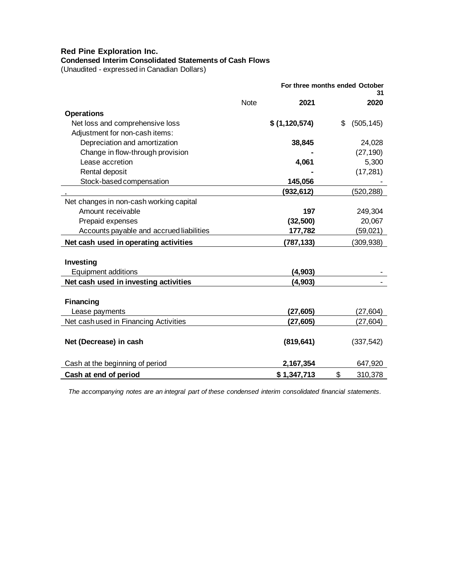# **Condensed Interim Consolidated Statements of Cash Flows**

(Unaudited - expressed in Canadian Dollars)

|                                          |             |               | For three months ended October<br>31 |
|------------------------------------------|-------------|---------------|--------------------------------------|
|                                          | <b>Note</b> | 2021          | 2020                                 |
| <b>Operations</b>                        |             |               |                                      |
| Net loss and comprehensive loss          |             | \$(1,120,574) | \$<br>(505, 145)                     |
| Adjustment for non-cash items:           |             |               |                                      |
| Depreciation and amortization            |             | 38,845        | 24,028                               |
| Change in flow-through provision         |             |               | (27, 190)                            |
| Lease accretion                          |             | 4,061         | 5,300                                |
| Rental deposit                           |             |               | (17, 281)                            |
| Stock-based compensation                 |             | 145,056       |                                      |
|                                          |             | (932, 612)    | (520,288)                            |
| Net changes in non-cash working capital  |             |               |                                      |
| Amount receivable                        |             | 197           | 249,304                              |
| Prepaid expenses                         |             | (32, 500)     | 20,067                               |
| Accounts payable and accrued liabilities |             | 177,782       | (59, 021)                            |
| Net cash used in operating activities    |             | (787,133)     | (309, 938)                           |
| Investing                                |             |               |                                      |
| <b>Equipment additions</b>               |             | (4, 903)      |                                      |
| Net cash used in investing activities    |             | (4,903)       |                                      |
|                                          |             |               |                                      |
| <b>Financing</b>                         |             |               |                                      |
| Lease payments                           |             | (27, 605)     | (27, 604)                            |
| Net cash used in Financing Activities    |             | (27, 605)     | (27,604)                             |
| Net (Decrease) in cash                   |             | (819, 641)    | (337, 542)                           |
| Cash at the beginning of period          |             | 2,167,354     | 647,920                              |
| Cash at end of period                    |             | \$1,347,713   | \$<br>310,378                        |

*The accompanying notes are an integral part of these condensed interim consolidated financial statements.*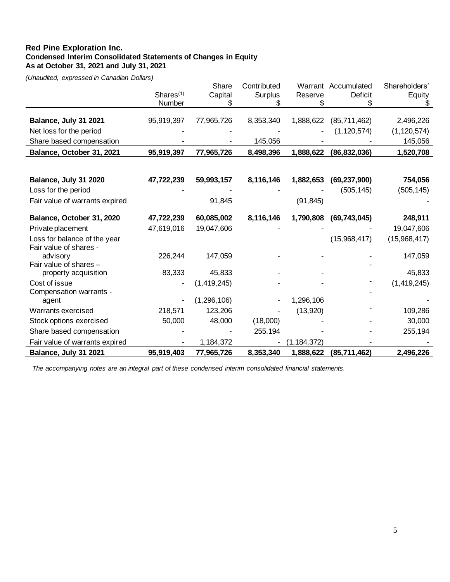## **Red Pine Exploration Inc. Condensed Interim Consolidated Statements of Changes in Equity As at October 31, 2021 and July 31, 2021**

*(Unaudited, expressed in Canadian Dollars)*

|                                |                       | Share       | Contributed |               | Warrant Accumulated | Shareholders' |
|--------------------------------|-----------------------|-------------|-------------|---------------|---------------------|---------------|
|                                | Shares <sup>(1)</sup> | Capital     | Surplus     | Reserve       | <b>Deficit</b>      | Equity        |
|                                | Number                |             |             |               |                     |               |
|                                |                       |             |             |               |                     |               |
| Balance, July 31 2021          | 95,919,397            | 77,965,726  | 8,353,340   | 1,888,622     | (85, 711, 462)      | 2,496,226     |
| Net loss for the period        |                       |             |             |               | (1, 120, 574)       | (1, 120, 574) |
| Share based compensation       |                       |             | 145,056     |               |                     | 145,056       |
| Balance, October 31, 2021      | 95,919,397            | 77,965,726  | 8,498,396   | 1,888,622     | (86, 832, 036)      | 1,520,708     |
|                                |                       |             |             |               |                     |               |
|                                |                       |             |             |               |                     |               |
| Balance, July 31 2020          | 47,722,239            | 59,993,157  | 8,116,146   | 1,882,653     | (69, 237, 900)      | 754,056       |
| Loss for the period            |                       |             |             |               | (505, 145)          | (505, 145)    |
| Fair value of warrants expired |                       | 91,845      |             | (91, 845)     |                     |               |
|                                |                       |             |             |               |                     |               |
| Balance, October 31, 2020      | 47,722,239            | 60,085,002  | 8,116,146   | 1,790,808     | (69, 743, 045)      | 248,911       |
| Private placement              | 47,619,016            | 19,047,606  |             |               |                     | 19,047,606    |
| Loss for balance of the year   |                       |             |             |               | (15,968,417)        | (15,968,417)  |
| Fair value of shares -         |                       |             |             |               |                     |               |
| advisory                       | 226,244               | 147,059     |             |               |                     | 147,059       |
| Fair value of shares -         |                       |             |             |               |                     |               |
| property acquisition           | 83,333                | 45,833      |             |               |                     | 45,833        |
| Cost of issue                  |                       | (1,419,245) |             |               |                     | (1,419,245)   |
| Compensation warrants -        |                       |             |             |               |                     |               |
| agent                          |                       | (1,296,106) |             | 1,296,106     |                     |               |
| Warrants exercised             | 218,571               | 123,206     |             | (13,920)      |                     | 109,286       |
| Stock options exercised        | 50,000                | 48,000      | (18,000)    |               |                     | 30,000        |
| Share based compensation       |                       |             | 255,194     |               |                     | 255,194       |
| Fair value of warrants expired |                       | 1,184,372   |             | (1, 184, 372) |                     |               |
| Balance, July 31 2021          | 95,919,403            | 77,965,726  | 8,353,340   | 1,888,622     | (85, 711, 462)      | 2,496,226     |

*The accompanying notes are an integral part of these condensed interim consolidated financial statements.*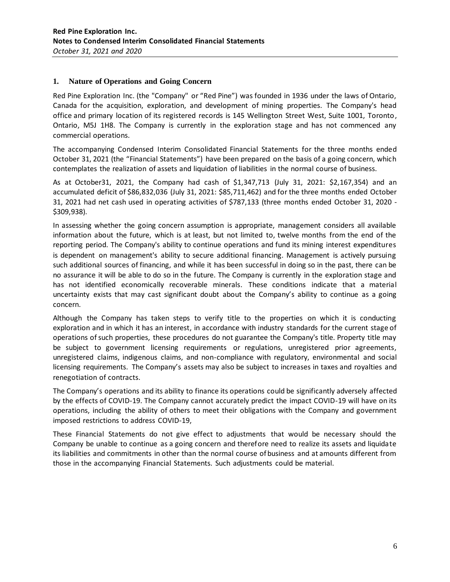## **1. Nature of Operations and Going Concern**

Red Pine Exploration Inc. (the "Company" or "Red Pine") was founded in 1936 under the laws of Ontario, Canada for the acquisition, exploration, and development of mining properties. The Company's head office and primary location of its registered records is 145 Wellington Street West, Suite 1001, Toronto, Ontario, M5J 1H8. The Company is currently in the exploration stage and has not commenced any commercial operations.

The accompanying Condensed Interim Consolidated Financial Statements for the three months ended October 31, 2021 (the "Financial Statements") have been prepared on the basis of a going concern, which contemplates the realization of assets and liquidation of liabilities in the normal course of business.

As at October31, 2021, the Company had cash of \$1,347,713 (July 31, 2021: \$2,167,354) and an accumulated deficit of \$86,832,036 (July 31, 2021: \$85,711,462) and for the three months ended October 31, 2021 had net cash used in operating activities of \$787,133 (three months ended October 31, 2020 - \$309,938).

In assessing whether the going concern assumption is appropriate, management considers all available information about the future, which is at least, but not limited to, twelve months from the end of the reporting period. The Company's ability to continue operations and fund its mining interest expenditures is dependent on management's ability to secure additional financing. Management is actively pursuing such additional sources of financing, and while it has been successful in doing so in the past, there can be no assurance it will be able to do so in the future. The Company is currently in the exploration stage and has not identified economically recoverable minerals. These conditions indicate that a material uncertainty exists that may cast significant doubt about the Company's ability to continue as a going concern.

Although the Company has taken steps to verify title to the properties on which it is conducting exploration and in which it has an interest, in accordance with industry standards for the current stage of operations of such properties, these procedures do not guarantee the Company's title. Property title may be subject to government licensing requirements or regulations, unregistered prior agreements, unregistered claims, indigenous claims, and non-compliance with regulatory, environmental and social licensing requirements. The Company's assets may also be subject to increases in taxes and royalties and renegotiation of contracts.

The Company's operations and its ability to finance its operations could be significantly adversely affected by the effects of COVID-19. The Company cannot accurately predict the impact COVID-19 will have on its operations, including the ability of others to meet their obligations with the Company and government imposed restrictions to address COVID-19,

These Financial Statements do not give effect to adjustments that would be necessary should the Company be unable to continue as a going concern and therefore need to realize its assets and liquidate its liabilities and commitments in other than the normal course of business and at amounts different from those in the accompanying Financial Statements. Such adjustments could be material.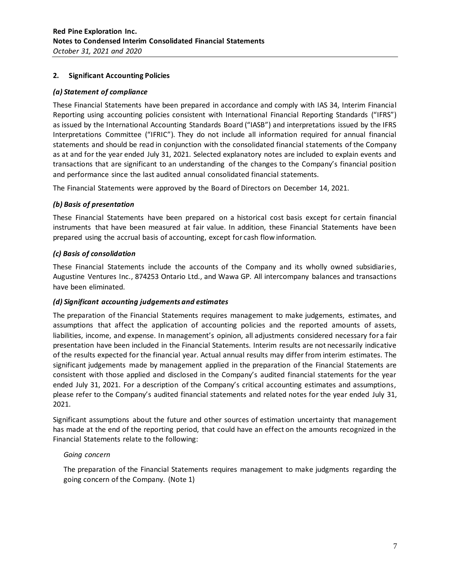## **2. Significant Accounting Policies**

## *(a) Statement of compliance*

These Financial Statements have been prepared in accordance and comply with IAS 34, Interim Financial Reporting using accounting policies consistent with International Financial Reporting Standards ("IFRS") as issued by the International Accounting Standards Board ("IASB") and interpretations issued by the IFRS Interpretations Committee ("IFRIC"). They do not include all information required for annual financial statements and should be read in conjunction with the consolidated financial statements of the Company as at and for the year ended July 31, 2021. Selected explanatory notes are included to explain events and transactions that are significant to an understanding of the changes to the Company's financial position and performance since the last audited annual consolidated financial statements.

The Financial Statements were approved by the Board of Directors on December 14, 2021.

## *(b) Basis of presentation*

These Financial Statements have been prepared on a historical cost basis except for certain financial instruments that have been measured at fair value. In addition, these Financial Statements have been prepared using the accrual basis of accounting, except for cash flow information.

## *(c) Basis of consolidation*

These Financial Statements include the accounts of the Company and its wholly owned subsidiaries, Augustine Ventures Inc., 874253 Ontario Ltd., and Wawa GP. All intercompany balances and transactions have been eliminated.

#### *(d) Significant accounting judgements and estimates*

The preparation of the Financial Statements requires management to make judgements, estimates, and assumptions that affect the application of accounting policies and the reported amounts of assets, liabilities, income, and expense. In management's opinion, all adjustments considered necessary for a fair presentation have been included in the Financial Statements. Interim results are not necessarily indicative of the results expected for the financial year. Actual annual results may differ from interim estimates. The significant judgements made by management applied in the preparation of the Financial Statements are consistent with those applied and disclosed in the Company's audited financial statements for the year ended July 31, 2021. For a description of the Company's critical accounting estimates and assumptions, please refer to the Company's audited financial statements and related notes for the year ended July 31, 2021.

Significant assumptions about the future and other sources of estimation uncertainty that management has made at the end of the reporting period, that could have an effect on the amounts recognized in the Financial Statements relate to the following:

#### *Going concern*

The preparation of the Financial Statements requires management to make judgments regarding the going concern of the Company. (Note 1)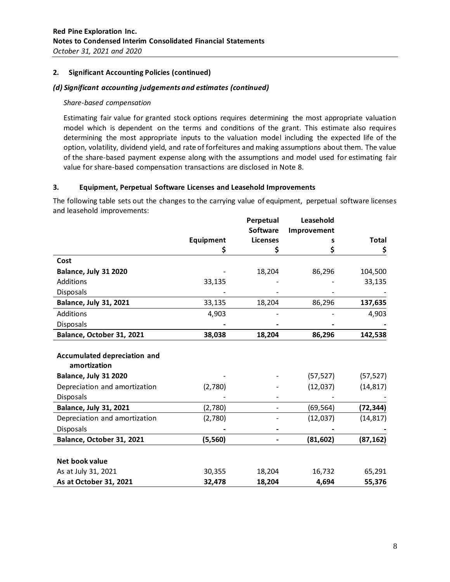## **2. Significant Accounting Policies (continued)**

## *(d) Significant accounting judgements and estimates (continued)*

#### *Share-based compensation*

Estimating fair value for granted stock options requires determining the most appropriate valuation model which is dependent on the terms and conditions of the grant. This estimate also requires determining the most appropriate inputs to the valuation model including the expected life of the option, volatility, dividend yield, and rate of forfeitures and making assumptions about them. The value of the share-based payment expense along with the assumptions and model used for estimating fair value for share-based compensation transactions are disclosed in Note 8.

## **3. Equipment, Perpetual Software Licenses and Leasehold Improvements**

The following table sets out the changes to the carrying value of equipment, perpetual software licenses and leasehold improvements:

|                                                     |           | Perpetual       | Leasehold   |              |
|-----------------------------------------------------|-----------|-----------------|-------------|--------------|
|                                                     |           | <b>Software</b> | Improvement |              |
|                                                     | Equipment | <b>Licenses</b> | s           | <b>Total</b> |
|                                                     | \$        | S               | \$          | \$           |
| Cost                                                |           |                 |             |              |
| Balance, July 31 2020                               |           | 18,204          | 86,296      | 104,500      |
| Additions                                           | 33,135    |                 |             | 33,135       |
| <b>Disposals</b>                                    |           |                 |             |              |
| <b>Balance, July 31, 2021</b>                       | 33,135    | 18,204          | 86,296      | 137,635      |
| Additions                                           | 4,903     |                 |             | 4,903        |
| Disposals                                           |           |                 |             |              |
| Balance, October 31, 2021                           | 38,038    | 18,204          | 86,296      | 142,538      |
| <b>Accumulated depreciation and</b><br>amortization |           |                 |             |              |
| Balance, July 31 2020                               |           |                 | (57, 527)   | (57, 527)    |
| Depreciation and amortization                       | (2,780)   |                 | (12,037)    | (14, 817)    |
| <b>Disposals</b>                                    |           |                 |             |              |
| <b>Balance, July 31, 2021</b>                       | (2,780)   |                 | (69, 564)   | (72,344)     |
| Depreciation and amortization                       | (2,780)   |                 | (12, 037)   | (14, 817)    |
| <b>Disposals</b>                                    |           |                 |             |              |
| Balance, October 31, 2021                           | (5,560)   |                 | (81, 602)   | (87, 162)    |
| Net book value                                      |           |                 |             |              |
| As at July 31, 2021                                 | 30,355    | 18,204          | 16,732      | 65,291       |
| As at October 31, 2021                              | 32,478    | 18,204          | 4,694       | 55,376       |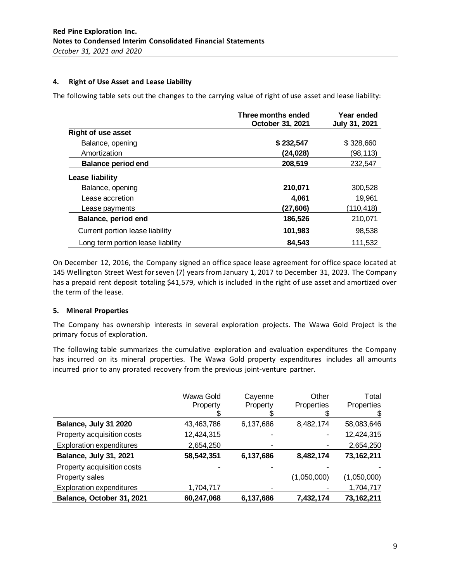## **4. Right of Use Asset and Lease Liability**

The following table sets out the changes to the carrying value of right of use asset and lease liability:

|                                   | Three months ended<br>October 31, 2021 | Year ended<br>July 31, 2021 |
|-----------------------------------|----------------------------------------|-----------------------------|
| <b>Right of use asset</b>         |                                        |                             |
| Balance, opening                  | \$232,547                              | \$328,660                   |
| Amortization                      | (24,028)                               | (98,113)                    |
| <b>Balance period end</b>         | 208,519                                | 232,547                     |
| Lease liability                   |                                        |                             |
| Balance, opening                  | 210,071                                | 300,528                     |
| Lease accretion                   | 4,061                                  | 19,961                      |
| Lease payments                    | (27,606)                               | (110,418)                   |
| Balance, period end               | 186,526                                | 210,071                     |
| Current portion lease liability   | 101,983                                | 98,538                      |
| Long term portion lease liability | 84,543                                 | 111.532                     |

On December 12, 2016, the Company signed an office space lease agreement for office space located at 145 Wellington Street West for seven (7) years from January 1, 2017 to December 31, 2023. The Company has a prepaid rent deposit totaling \$41,579, which is included in the right of use asset and amortized over the term of the lease.

## **5. Mineral Properties**

The Company has ownership interests in several exploration projects. The Wawa Gold Project is the primary focus of exploration.

The following table summarizes the cumulative exploration and evaluation expenditures the Company has incurred on its mineral properties. The Wawa Gold property expenditures includes all amounts incurred prior to any prorated recovery from the previous joint-venture partner.

|                                 | Wawa Gold<br>Property | Cayenne<br>Property | Other<br>Properties | Total<br>Properties |
|---------------------------------|-----------------------|---------------------|---------------------|---------------------|
| Balance, July 31 2020           | 43,463,786            | 6,137,686           | 8,482,174           | 58,083,646          |
| Property acquisition costs      | 12,424,315            |                     |                     | 12,424,315          |
| <b>Exploration expenditures</b> | 2,654,250             |                     |                     | 2,654,250           |
| Balance, July 31, 2021          | 58,542,351            | 6,137,686           | 8,482,174           | 73,162,211          |
| Property acquisition costs      |                       |                     |                     |                     |
| Property sales                  |                       |                     | (1,050,000)         | (1,050,000)         |
| <b>Exploration expenditures</b> | 1,704,717             |                     |                     | 1,704,717           |
| Balance, October 31, 2021       | 60,247,068            | 6,137,686           | 7,432,174           | 73,162,211          |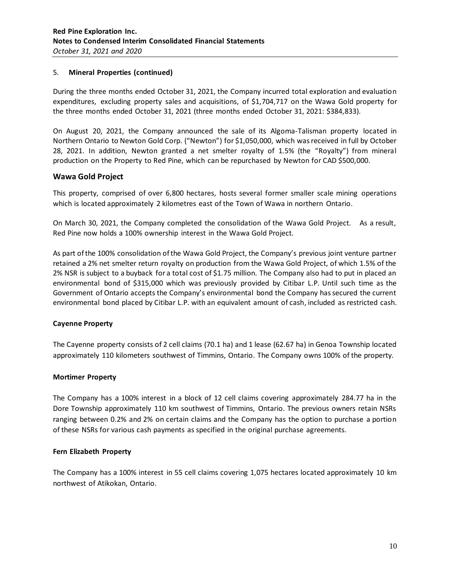## 5. **Mineral Properties (continued)**

During the three months ended October 31, 2021, the Company incurred total exploration and evaluation expenditures, excluding property sales and acquisitions, of \$1,704,717 on the Wawa Gold property for the three months ended October 31, 2021 (three months ended October 31, 2021: \$384,833).

On August 20, 2021, the Company announced the sale of its Algoma-Talisman property located in Northern Ontario to Newton Gold Corp. ("Newton") for \$1,050,000, which was received in full by October 28, 2021. In addition, Newton granted a net smelter royalty of 1.5% (the "Royalty") from mineral production on the Property to Red Pine, which can be repurchased by Newton for CAD \$500,000.

## **Wawa Gold Project**

This property, comprised of over 6,800 hectares, hosts several former smaller scale mining operations which is located approximately 2 kilometres east of the Town of Wawa in northern Ontario.

On March 30, 2021, the Company completed the consolidation of the Wawa Gold Project. As a result, Red Pine now holds a 100% ownership interest in the Wawa Gold Project.

As part of the 100% consolidation of the Wawa Gold Project, the Company's previous joint venture partner retained a 2% net smelter return royalty on production from the Wawa Gold Project, of which 1.5% of the 2% NSR is subject to a buyback for a total cost of \$1.75 million. The Company also had to put in placed an environmental bond of \$315,000 which was previously provided by Citibar L.P. Until such time as the Government of Ontario accepts the Company's environmental bond the Company has secured the current environmental bond placed by Citibar L.P. with an equivalent amount of cash, included as restricted cash.

#### **Cayenne Property**

The Cayenne property consists of 2 cell claims (70.1 ha) and 1 lease (62.67 ha) in Genoa Township located approximately 110 kilometers southwest of Timmins, Ontario. The Company owns 100% of the property.

#### **Mortimer Property**

The Company has a 100% interest in a block of 12 cell claims covering approximately 284.77 ha in the Dore Township approximately 110 km southwest of Timmins, Ontario. The previous owners retain NSRs ranging between 0.2% and 2% on certain claims and the Company has the option to purchase a portion of these NSRs for various cash payments as specified in the original purchase agreements.

#### **Fern Elizabeth Property**

The Company has a 100% interest in 55 cell claims covering 1,075 hectares located approximately 10 km northwest of Atikokan, Ontario.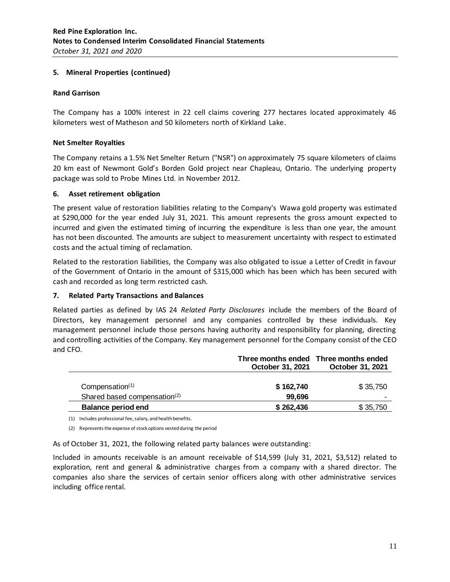## **5. Mineral Properties (continued)**

## **Rand Garrison**

The Company has a 100% interest in 22 cell claims covering 277 hectares located approximately 46 kilometers west of Matheson and 50 kilometers north of Kirkland Lake.

## **Net Smelter Royalties**

The Company retains a 1.5% Net Smelter Return ("NSR") on approximately 75 square kilometers of claims 20 km east of Newmont Gold's Borden Gold project near Chapleau, Ontario. The underlying property package was sold to Probe Mines Ltd. in November 2012.

## **6. Asset retirement obligation**

The present value of restoration liabilities relating to the Company's Wawa gold property was estimated at \$290,000 for the year ended July 31, 2021. This amount represents the gross amount expected to incurred and given the estimated timing of incurring the expenditure is less than one year, the amount has not been discounted. The amounts are subject to measurement uncertainty with respect to estimated costs and the actual timing of reclamation.

Related to the restoration liabilities, the Company was also obligated to issue a Letter of Credit in favour of the Government of Ontario in the amount of \$315,000 which has been which has been secured with cash and recorded as long term restricted cash.

## **7. Related Party Transactions and Balances**

Related parties as defined by IAS 24 *Related Party Disclosures* include the members of the Board of Directors, key management personnel and any companies controlled by these individuals. Key management personnel include those persons having authority and responsibility for planning, directing and controlling activities of the Company. Key management personnel for the Company consist of the CEO and CFO.

|                                          | October 31, 2021 | Three months ended Three months ended<br>October 31, 2021 |
|------------------------------------------|------------------|-----------------------------------------------------------|
| Compensation <sup>(1)</sup>              | \$162,740        | \$35,750                                                  |
| Shared based compensation <sup>(2)</sup> | 99.696           | -                                                         |
| <b>Balance period end</b>                | \$262,436        | \$35,750                                                  |

(1) Includes professional fee, salary, and health benefits.

(2) Represents the expense of stock options vested during the period

As of October 31, 2021, the following related party balances were outstanding:

Included in amounts receivable is an amount receivable of \$14,599 (July 31, 2021, \$3,512) related to exploration, rent and general & administrative charges from a company with a shared director. The companies also share the services of certain senior officers along with other administrative services including office rental.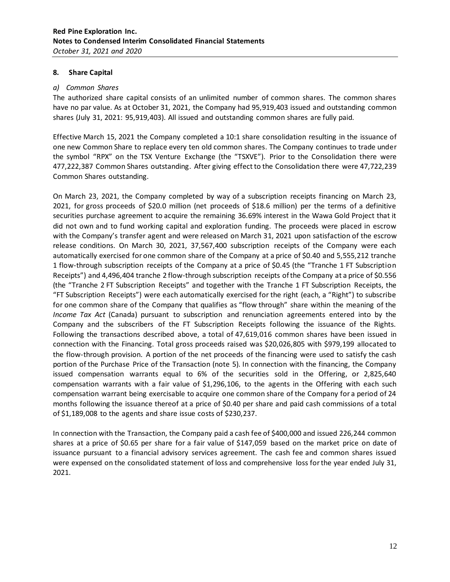## **8. Share Capital**

#### *a) Common Shares*

The authorized share capital consists of an unlimited number of common shares. The common shares have no par value. As at October 31, 2021, the Company had 95,919,403 issued and outstanding common shares (July 31, 2021: 95,919,403). All issued and outstanding common shares are fully paid.

Effective March 15, 2021 the Company completed a 10:1 share consolidation resulting in the issuance of one new Common Share to replace every ten old common shares. The Company continues to trade under the symbol "RPX" on the TSX Venture Exchange (the "TSXVE"). Prior to the Consolidation there were 477,222,387 Common Shares outstanding. After giving effect to the Consolidation there were 47,722,239 Common Shares outstanding.

On March 23, 2021, the Company completed by way of a subscription receipts financing on March 23, 2021, for gross proceeds of \$20.0 million (net proceeds of \$18.6 million) per the terms of a definitive securities purchase agreement to acquire the remaining 36.69% interest in the Wawa Gold Project that it did not own and to fund working capital and exploration funding. The proceeds were placed in escrow with the Company's transfer agent and were released on March 31, 2021 upon satisfaction of the escrow release conditions. On March 30, 2021, 37,567,400 subscription receipts of the Company were each automatically exercised for one common share of the Company at a price of \$0.40 and 5,555,212 tranche 1 flow-through subscription receipts of the Company at a price of \$0.45 (the "Tranche 1 FT Subscription Receipts") and 4,496,404 tranche 2 flow-through subscription receipts of the Company at a price of \$0.556 (the "Tranche 2 FT Subscription Receipts" and together with the Tranche 1 FT Subscription Receipts, the "FT Subscription Receipts") were each automatically exercised for the right (each, a "Right") to subscribe for one common share of the Company that qualifies as "flow through" share within the meaning of the *Income Tax Act* (Canada) pursuant to subscription and renunciation agreements entered into by the Company and the subscribers of the FT Subscription Receipts following the issuance of the Rights. Following the transactions described above, a total of 47,619,016 common shares have been issued in connection with the Financing. Total gross proceeds raised was \$20,026,805 with \$979,199 allocated to the flow-through provision. A portion of the net proceeds of the financing were used to satisfy the cash portion of the Purchase Price of the Transaction (note 5). In connection with the financing, the Company issued compensation warrants equal to 6% of the securities sold in the Offering, or 2,825,640 compensation warrants with a fair value of \$1,296,106, to the agents in the Offering with each such compensation warrant being exercisable to acquire one common share of the Company for a period of 24 months following the issuance thereof at a price of \$0.40 per share and paid cash commissions of a total of \$1,189,008 to the agents and share issue costs of \$230,237.

In connection with the Transaction, the Company paid a cash fee of \$400,000 and issued 226,244 common shares at a price of \$0.65 per share for a fair value of \$147,059 based on the market price on date of issuance pursuant to a financial advisory services agreement. The cash fee and common shares issued were expensed on the consolidated statement of loss and comprehensive loss for the year ended July 31, 2021.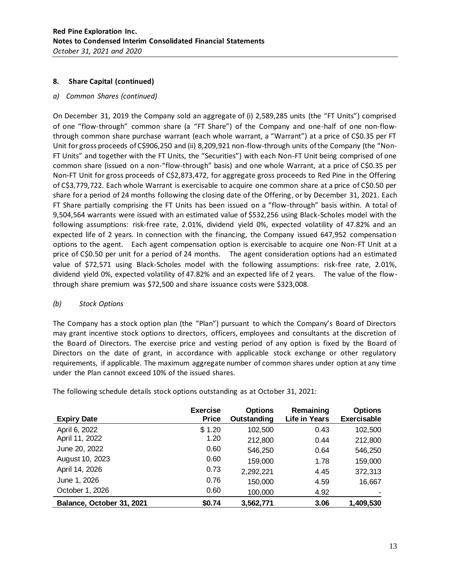## **8. Share Capital (continued)**

*a) Common Shares (continued)*

On December 31, 2019 the Company sold an aggregate of (i) 2,589,285 units (the "FT Units") comprised of one "flow-through" common share (a "FT Share") of the Company and one-half of one non-flowthrough common share purchase warrant (each whole warrant, a "Warrant") at a price of C\$0.35 per FT Unit for gross proceeds of C\$906,250 and (ii) 8,209,921 non-flow-through units of the Company (the "Non-FT Units" and together with the FT Units, the "Securities") with each Non-FT Unit being comprised of one common share (issued on a non-"flow-through" basis) and one whole Warrant, at a price of C\$0.35 per Non-FT Unit for gross proceeds of C\$2,873,472, for aggregate gross proceeds to Red Pine in the Offering of C\$3,779,722. Each whole Warrant is exercisable to acquire one common share at a price of C\$0.50 per share for a period of 24 months following the closing date of the Offering, or by December 31, 2021. Each FT Share partially comprising the FT Units has been issued on a "flow-through" basis within. A total of 9,504,564 warrants were issued with an estimated value of \$532,256 using Black-Scholes model with the following assumptions: risk-free rate, 2.01%, dividend yield 0%, expected volatility of 47.82% and an expected life of 2 years. In connection with the financing, the Company issued 647,952 compensation options to the agent. Each agent compensation option is exercisable to acquire one Non-FT Unit at a price of C\$0.50 per unit for a period of 24 months. The agent consideration options had an estimated value of \$72,571 using Black-Scholes model with the following assumptions: risk-free rate, 2.01%, dividend yield 0%, expected volatility of 47.82% and an expected life of 2 years. The value of the flowthrough share premium was \$72,500 and share issuance costs were \$323,008.

## *(b) Stock Options*

The Company has a stock option plan (the "Plan") pursuant to which the Company's Board of Directors may grant incentive stock options to directors, officers, employees and consultants at the discretion of the Board of Directors. The exercise price and vesting period of any option is fixed by the Board of Directors on the date of grant, in accordance with applicable stock exchange or other regulatory requirements, if applicable. The maximum aggregate number of common shares under option at any time under the Plan cannot exceed 10% of the issued shares.

| <b>Expiry Date</b>        | <b>Exercise</b><br><b>Price</b> | <b>Options</b><br>Outstanding | Remaining<br>Life in Years | <b>Options</b><br><b>Exercisable</b> |
|---------------------------|---------------------------------|-------------------------------|----------------------------|--------------------------------------|
| April 6, 2022             | \$1.20                          | 102,500                       | 0.43                       | 102,500                              |
| April 11, 2022            | 1.20                            | 212,800                       | 0.44                       | 212,800                              |
| June 20, 2022             | 0.60                            | 546,250                       | 0.64                       | 546,250                              |
| August 10, 2023           | 0.60                            | 159,000                       | 1.78                       | 159,000                              |
| April 14, 2026            | 0.73                            | 2,292,221                     | 4.45                       | 372,313                              |
| June 1, 2026              | 0.76                            | 150,000                       | 4.59                       | 16,667                               |
| October 1, 2026           | 0.60                            | 100,000                       | 4.92                       |                                      |
| Balance, October 31, 2021 | \$0.74                          | 3,562,771                     | 3.06                       | 1,409,530                            |

The following schedule details stock options outstanding as at October 31, 2021: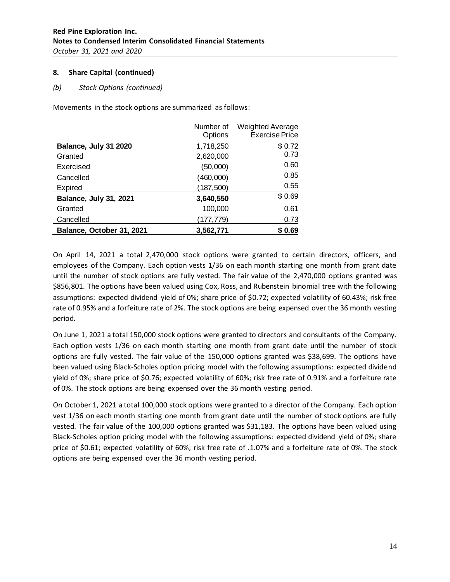## **8. Share Capital (continued)**

## *(b) Stock Options (continued)*

Movements in the stock options are summarized as follows:

|                               | Number of  | <b>Weighted Average</b> |
|-------------------------------|------------|-------------------------|
|                               | Options    | <b>Exercise Price</b>   |
| Balance, July 31 2020         | 1,718,250  | \$0.72                  |
| Granted                       | 2,620,000  | 0.73                    |
| Exercised                     | (50,000)   | 0.60                    |
| Cancelled                     | (460,000)  | 0.85                    |
| Expired                       | (187, 500) | 0.55                    |
| <b>Balance, July 31, 2021</b> | 3,640,550  | \$0.69                  |
| Granted                       | 100,000    | 0.61                    |
| Cancelled                     | (177,779)  | 0.73                    |
| Balance, October 31, 2021     | 3,562,771  | \$0.69                  |

On April 14, 2021 a total 2,470,000 stock options were granted to certain directors, officers, and employees of the Company. Each option vests 1/36 on each month starting one month from grant date until the number of stock options are fully vested. The fair value of the 2,470,000 options granted was \$856,801. The options have been valued using Cox, Ross, and Rubenstein binomial tree with the following assumptions: expected dividend yield of 0%; share price of \$0.72; expected volatility of 60.43%; risk free rate of 0.95% and a forfeiture rate of 2%. The stock options are being expensed over the 36 month vesting period.

On June 1, 2021 a total 150,000 stock options were granted to directors and consultants of the Company. Each option vests 1/36 on each month starting one month from grant date until the number of stock options are fully vested. The fair value of the 150,000 options granted was \$38,699. The options have been valued using Black-Scholes option pricing model with the following assumptions: expected dividend yield of 0%; share price of \$0.76; expected volatility of 60%; risk free rate of 0.91% and a forfeiture rate of 0%. The stock options are being expensed over the 36 month vesting period.

On October 1, 2021 a total 100,000 stock options were granted to a director of the Company. Each option vest 1/36 on each month starting one month from grant date until the number of stock options are fully vested. The fair value of the 100,000 options granted was \$31,183. The options have been valued using Black-Scholes option pricing model with the following assumptions: expected dividend yield of 0%; share price of \$0.61; expected volatility of 60%; risk free rate of .1.07% and a forfeiture rate of 0%. The stock options are being expensed over the 36 month vesting period.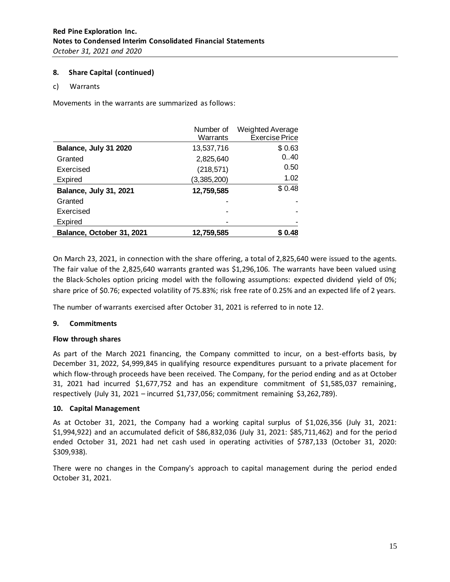## **8. Share Capital (continued)**

#### c) Warrants

Movements in the warrants are summarized as follows:

|                               | Number of<br>Warrants | <b>Weighted Average</b><br><b>Exercise Price</b> |
|-------------------------------|-----------------------|--------------------------------------------------|
| Balance, July 31 2020         | 13,537,716            | \$0.63                                           |
| Granted                       | 2,825,640             | 0.40                                             |
| Exercised                     | (218, 571)            | 0.50                                             |
| Expired                       | (3,385,200)           | 1.02                                             |
| <b>Balance, July 31, 2021</b> | 12,759,585            | \$0.48                                           |
| Granted                       |                       |                                                  |
| Exercised                     |                       |                                                  |
| Expired                       |                       |                                                  |
| Balance, October 31, 2021     | 12,759,585            | \$0.48                                           |

On March 23, 2021, in connection with the share offering, a total of 2,825,640 were issued to the agents. The fair value of the 2,825,640 warrants granted was \$1,296,106. The warrants have been valued using the Black-Scholes option pricing model with the following assumptions: expected dividend yield of 0%; share price of \$0.76; expected volatility of 75.83%; risk free rate of 0.25% and an expected life of 2 years.

The number of warrants exercised after October 31, 2021 is referred to in note 12.

#### **9. Commitments**

#### **Flow through shares**

As part of the March 2021 financing, the Company committed to incur, on a best-efforts basis, by December 31, 2022, \$4,999,845 in qualifying resource expenditures pursuant to a private placement for which flow-through proceeds have been received. The Company, for the period ending and as at October 31, 2021 had incurred \$1,677,752 and has an expenditure commitment of \$1,585,037 remaining, respectively (July 31, 2021 – incurred \$1,737,056; commitment remaining \$3,262,789).

## **10. Capital Management**

As at October 31, 2021, the Company had a working capital surplus of \$1,026,356 (July 31, 2021: \$1,994,922) and an accumulated deficit of \$86,832,036 (July 31, 2021: \$85,711,462) and for the period ended October 31, 2021 had net cash used in operating activities of \$787,133 (October 31, 2020: \$309,938).

There were no changes in the Company's approach to capital management during the period ended October 31, 2021.